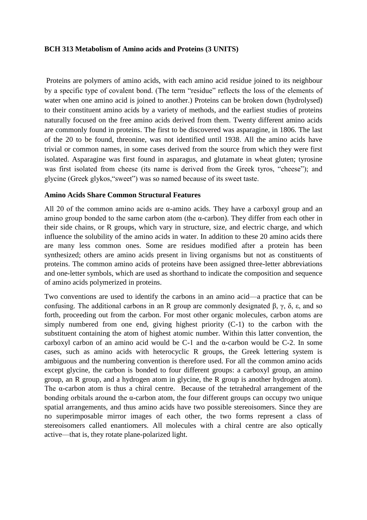### **BCH 313 Metabolism of Amino acids and Proteins (3 UNITS)**

Proteins are polymers of amino acids, with each amino acid residue joined to its neighbour by a specific type of covalent bond. (The term "residue" reflects the loss of the elements of water when one amino acid is joined to another.) Proteins can be broken down (hydrolysed) to their constituent amino acids by a variety of methods, and the earliest studies of proteins naturally focused on the free amino acids derived from them. Twenty different amino acids are commonly found in proteins. The first to be discovered was asparagine, in 1806. The last of the 20 to be found, threonine, was not identified until 1938. All the amino acids have trivial or common names, in some cases derived from the source from which they were first isolated. Asparagine was first found in asparagus, and glutamate in wheat gluten; tyrosine was first isolated from cheese (its name is derived from the Greek tyros, "cheese"); and glycine (Greek glykos, "sweet") was so named because of its sweet taste.

### **Amino Acids Share Common Structural Features**

All 20 of the common amino acids are α-amino acids. They have a carboxyl group and an amino group bonded to the same carbon atom (the α-carbon). They differ from each other in their side chains, or R groups, which vary in structure, size, and electric charge, and which influence the solubility of the amino acids in water. In addition to these 20 amino acids there are many less common ones. Some are residues modified after a protein has been synthesized; others are amino acids present in living organisms but not as constituents of proteins. The common amino acids of proteins have been assigned three-letter abbreviations and one-letter symbols, which are used as shorthand to indicate the composition and sequence of amino acids polymerized in proteins.

Two conventions are used to identify the carbons in an amino acid—a practice that can be confusing. The additional carbons in an R group are commonly designated β, γ, δ, ε, and so forth, proceeding out from the carbon. For most other organic molecules, carbon atoms are simply numbered from one end, giving highest priority (C-1) to the carbon with the substituent containing the atom of highest atomic number. Within this latter convention, the carboxyl carbon of an amino acid would be  $C-1$  and the  $\alpha$ -carbon would be  $C-2$ . In some cases, such as amino acids with heterocyclic R groups, the Greek lettering system is ambiguous and the numbering convention is therefore used. For all the common amino acids except glycine, the carbon is bonded to four different groups: a carboxyl group, an amino group, an R group, and a hydrogen atom in glycine, the R group is another hydrogen atom). The  $\alpha$ -carbon atom is thus a chiral centre. Because of the tetrahedral arrangement of the bonding orbitals around the  $\alpha$ -carbon atom, the four different groups can occupy two unique spatial arrangements, and thus amino acids have two possible stereoisomers. Since they are no superimposable mirror images of each other, the two forms represent a class of stereoisomers called enantiomers. All molecules with a chiral centre are also optically active—that is, they rotate plane-polarized light.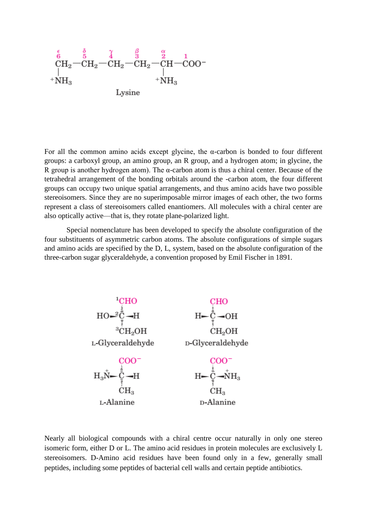

For all the common amino acids except glycine, the α-carbon is bonded to four different groups: a carboxyl group, an amino group, an R group, and a hydrogen atom; in glycine, the R group is another hydrogen atom). The α-carbon atom is thus a chiral center. Because of the tetrahedral arrangement of the bonding orbitals around the -carbon atom, the four different groups can occupy two unique spatial arrangements, and thus amino acids have two possible stereoisomers. Since they are no superimposable mirror images of each other, the two forms represent a class of stereoisomers called enantiomers. All molecules with a chiral center are also optically active—that is, they rotate plane-polarized light.

Special nomenclature has been developed to specify the absolute configuration of the four substituents of asymmetric carbon atoms. The absolute configurations of simple sugars and amino acids are specified by the D, L, system, based on the absolute configuration of the three-carbon sugar glyceraldehyde, a convention proposed by Emil Fischer in 1891.



Nearly all biological compounds with a chiral centre occur naturally in only one stereo isomeric form, either D or L. The amino acid residues in protein molecules are exclusively L stereoisomers. D-Amino acid residues have been found only in a few, generally small peptides, including some peptides of bacterial cell walls and certain peptide antibiotics.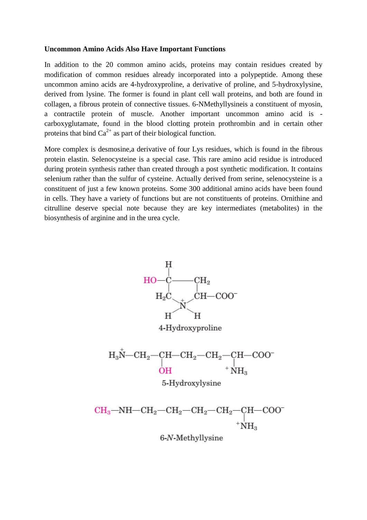#### **Uncommon Amino Acids Also Have Important Functions**

In addition to the 20 common amino acids, proteins may contain residues created by modification of common residues already incorporated into a polypeptide. Among these uncommon amino acids are 4-hydroxyproline, a derivative of proline, and 5-hydroxylysine, derived from lysine. The former is found in plant cell wall proteins, and both are found in collagen, a fibrous protein of connective tissues. 6-NMethyllysineis a constituent of myosin, a contractile protein of muscle. Another important uncommon amino acid is carboxyglutamate, found in the blood clotting protein prothrombin and in certain other proteins that bind  $Ca^{2+}$  as part of their biological function.

More complex is desmosine,a derivative of four Lys residues, which is found in the fibrous protein elastin. Selenocysteine is a special case. This rare amino acid residue is introduced during protein synthesis rather than created through a post synthetic modification. It contains selenium rather than the sulfur of cysteine. Actually derived from serine, selenocysteine is a constituent of just a few known proteins. Some 300 additional amino acids have been found in cells. They have a variety of functions but are not constituents of proteins. Ornithine and citrulline deserve special note because they are key intermediates (metabolites) in the biosynthesis of arginine and in the urea cycle.

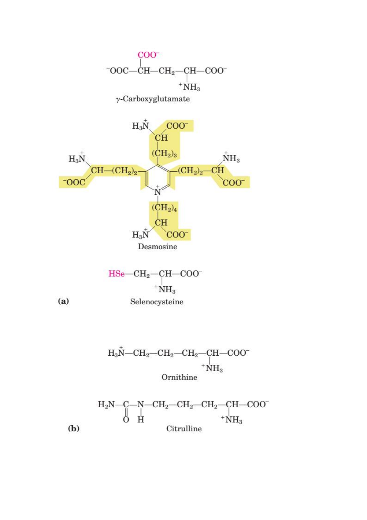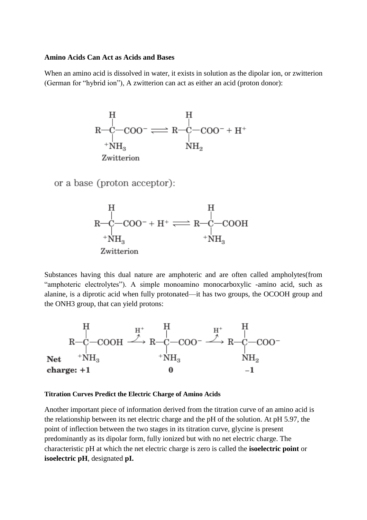#### **Amino Acids Can Act as Acids and Bases**

When an amino acid is dissolved in water, it exists in solution as the dipolar ion, or zwitterion (German for "hybrid ion"), A zwitterion can act as either an acid (proton donor):



or a base (proton acceptor):



Substances having this dual nature are amphoteric and are often called ampholytes(from "amphoteric electrolytes"). A simple monoamino monocarboxylic -amino acid, such as alanine, is a diprotic acid when fully protonated—it has two groups, the OCOOH group and the ONH3 group, that can yield protons:



#### **Titration Curves Predict the Electric Charge of Amino Acids**

Another important piece of information derived from the titration curve of an amino acid is the relationship between its net electric charge and the pH of the solution. At pH 5.97, the point of inflection between the two stages in its titration curve, glycine is present predominantly as its dipolar form, fully ionized but with no net electric charge. The characteristic pH at which the net electric charge is zero is called the **isoelectric point** or **isoelectric pH**, designated **pI.**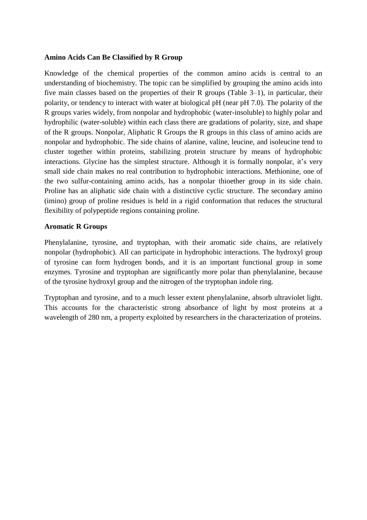### **Amino Acids Can Be Classified by R Group**

Knowledge of the chemical properties of the common amino acids is central to an understanding of biochemistry. The topic can be simplified by grouping the amino acids into five main classes based on the properties of their R groups (Table 3–1), in particular, their polarity, or tendency to interact with water at biological pH (near pH 7.0). The polarity of the R groups varies widely, from nonpolar and hydrophobic (water-insoluble) to highly polar and hydrophilic (water-soluble) within each class there are gradations of polarity, size, and shape of the R groups. Nonpolar, Aliphatic R Groups the R groups in this class of amino acids are nonpolar and hydrophobic. The side chains of alanine, valine, leucine, and isoleucine tend to cluster together within proteins, stabilizing protein structure by means of hydrophobic interactions. Glycine has the simplest structure. Although it is formally nonpolar, it's very small side chain makes no real contribution to hydrophobic interactions. Methionine, one of the two sulfur-containing amino acids, has a nonpolar thioether group in its side chain. Proline has an aliphatic side chain with a distinctive cyclic structure. The secondary amino (imino) group of proline residues is held in a rigid conformation that reduces the structural flexibility of polypeptide regions containing proline.

### **Aromatic R Groups**

Phenylalanine, tyrosine, and tryptophan, with their aromatic side chains, are relatively nonpolar (hydrophobic). All can participate in hydrophobic interactions. The hydroxyl group of tyrosine can form hydrogen bonds, and it is an important functional group in some enzymes. Tyrosine and tryptophan are significantly more polar than phenylalanine, because of the tyrosine hydroxyl group and the nitrogen of the tryptophan indole ring.

Tryptophan and tyrosine, and to a much lesser extent phenylalanine, absorb ultraviolet light. This accounts for the characteristic strong absorbance of light by most proteins at a wavelength of 280 nm, a property exploited by researchers in the characterization of proteins.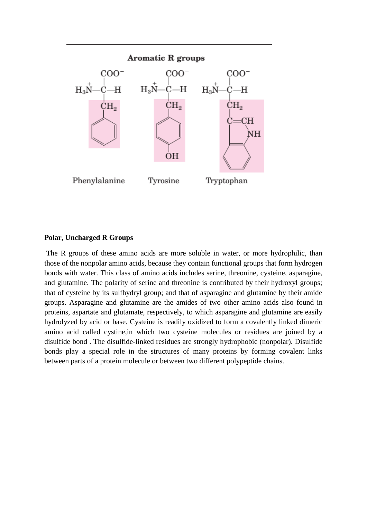

### **Polar, Uncharged R Groups**

The R groups of these amino acids are more soluble in water, or more hydrophilic, than those of the nonpolar amino acids, because they contain functional groups that form hydrogen bonds with water. This class of amino acids includes serine, threonine, cysteine, asparagine, and glutamine. The polarity of serine and threonine is contributed by their hydroxyl groups; that of cysteine by its sulfhydryl group; and that of asparagine and glutamine by their amide groups. Asparagine and glutamine are the amides of two other amino acids also found in proteins, aspartate and glutamate, respectively, to which asparagine and glutamine are easily hydrolyzed by acid or base. Cysteine is readily oxidized to form a covalently linked dimeric amino acid called cystine,in which two cysteine molecules or residues are joined by a disulfide bond . The disulfide-linked residues are strongly hydrophobic (nonpolar). Disulfide bonds play a special role in the structures of many proteins by forming covalent links between parts of a protein molecule or between two different polypeptide chains.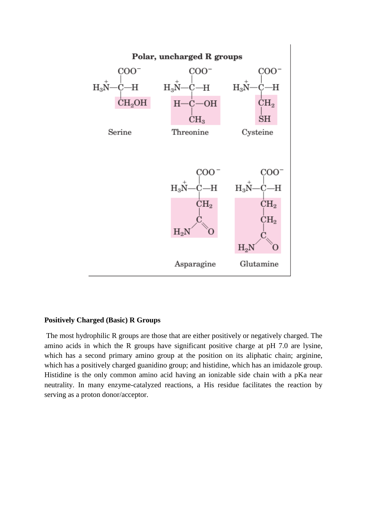

### **Positively Charged (Basic) R Groups**

The most hydrophilic R groups are those that are either positively or negatively charged. The amino acids in which the R groups have significant positive charge at pH 7.0 are lysine, which has a second primary amino group at the position on its aliphatic chain; arginine, which has a positively charged guanidino group; and histidine, which has an imidazole group. Histidine is the only common amino acid having an ionizable side chain with a pKa near neutrality. In many enzyme-catalyzed reactions, a His residue facilitates the reaction by serving as a proton donor/acceptor.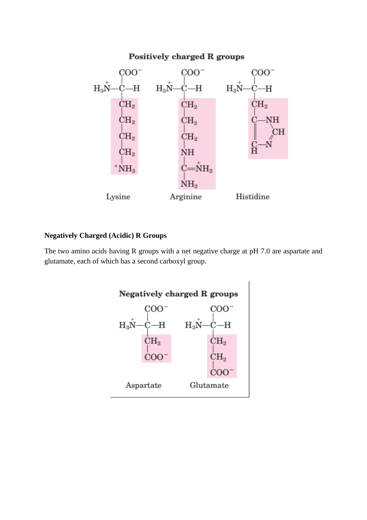#### $COO^{-}$  $COO^{-}$  $COO^{-}$  $H_3N-C-H$  $H_3N-C-H$  $H_3N-C-H$  $\mathop{\rm CH}\nolimits_2 \atop \mathop{\rm CH}\nolimits_2$  $\rm CH_{2}$  $\rm CH_{2}$ NH  $CH<sub>2</sub>$  $\rm CH_{2}$  $CH<sub>2</sub>$ ŃH  $CH<sub>2</sub>$  $C = NH<sub>2</sub>$  $^{\mathrm{+}}\mathrm{NH}_3$  $NH<sub>2</sub>$ Lysine Arginine Histidine

## **Negatively Charged (Acidic) R Groups**

The two amino acids having R groups with a net negative charge at pH 7.0 are aspartate and glutamate, each of which has a second carboxyl group.



# Positively charged R groups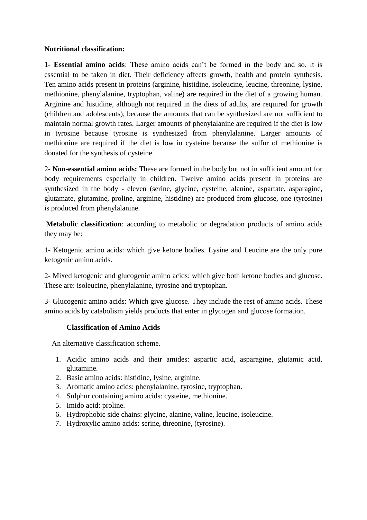## **Nutritional classification:**

**1- Essential amino acids**: These amino acids can't be formed in the body and so, it is essential to be taken in diet. Their deficiency affects growth, health and protein synthesis. Ten amino acids present in proteins (arginine, histidine, isoleucine, leucine, threonine, lysine, methionine, phenylalanine, tryptophan, valine) are required in the diet of a growing human. Arginine and histidine, although not required in the diets of adults, are required for growth (children and adolescents), because the amounts that can be synthesized are not sufficient to maintain normal growth rates. Larger amounts of phenylalanine are required if the diet is low in tyrosine because tyrosine is synthesized from phenylalanine. Larger amounts of methionine are required if the diet is low in cysteine because the sulfur of methionine is donated for the synthesis of cysteine.

2- **Non-essential amino acids:** These are formed in the body but not in sufficient amount for body requirements especially in children. Twelve amino acids present in proteins are synthesized in the body - eleven (serine, glycine, cysteine, alanine, aspartate, asparagine, glutamate, glutamine, proline, arginine, histidine) are produced from glucose, one (tyrosine) is produced from phenylalanine.

**Metabolic classification**: according to metabolic or degradation products of amino acids they may be:

1- Ketogenic amino acids: which give ketone bodies. Lysine and Leucine are the only pure ketogenic amino acids.

2- Mixed ketogenic and glucogenic amino acids: which give both ketone bodies and glucose. These are: isoleucine, phenylalanine, tyrosine and tryptophan.

3- Glucogenic amino acids: Which give glucose. They include the rest of amino acids. These amino acids by catabolism yields products that enter in glycogen and glucose formation.

## **Classification of Amino Acids**

An alternative classification scheme.

- 1. Acidic amino acids and their amides: aspartic acid, asparagine, glutamic acid, glutamine.
- 2. Basic amino acids: histidine, lysine, arginine.
- 3. Aromatic amino acids: phenylalanine, tyrosine, tryptophan.
- 4. Sulphur containing amino acids: cysteine, methionine.
- 5. Imido acid: proline.
- 6. Hydrophobic side chains: glycine, alanine, valine, leucine, isoleucine.
- 7. Hydroxylic amino acids: serine, threonine, (tyrosine).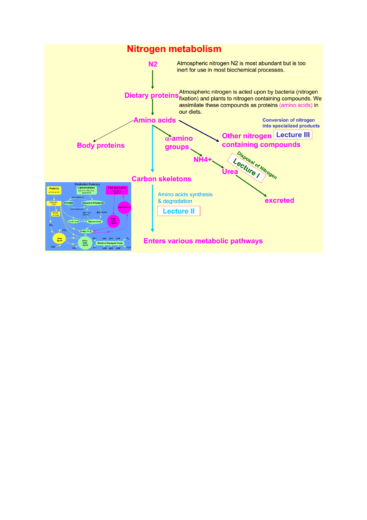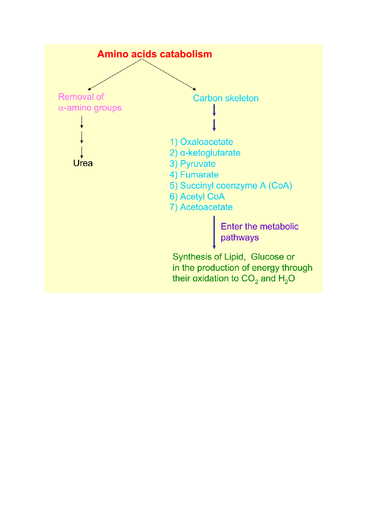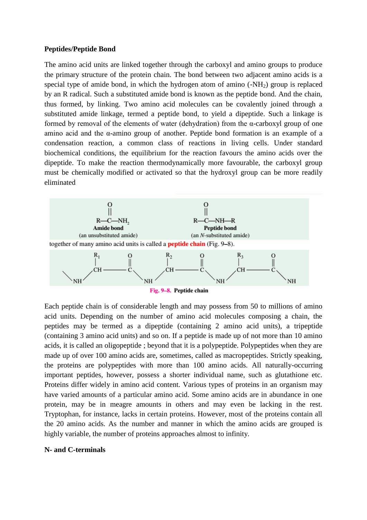### **Peptides/Peptide Bond**

The amino acid units are linked together through the carboxyl and amino groups to produce the primary structure of the protein chain. The bond between two adjacent amino acids is a special type of amide bond, in which the hydrogen atom of amino  $(-NH<sub>2</sub>)$  group is replaced by an R radical. Such a substituted amide bond is known as the peptide bond. And the chain, thus formed, by linking. Two amino acid molecules can be covalently joined through a substituted amide linkage, termed a peptide bond, to yield a dipeptide. Such a linkage is formed by removal of the elements of water (dehydration) from the α-carboxyl group of one amino acid and the α-amino group of another. Peptide bond formation is an example of a condensation reaction, a common class of reactions in living cells. Under standard biochemical conditions, the equilibrium for the reaction favours the amino acids over the dipeptide. To make the reaction thermodynamically more favourable, the carboxyl group must be chemically modified or activated so that the hydroxyl group can be more readily eliminated



Each peptide chain is of considerable length and may possess from 50 to millions of amino acid units. Depending on the number of amino acid molecules composing a chain, the peptides may be termed as a dipeptide (containing 2 amino acid units), a tripeptide (containing 3 amino acid units) and so on. If a peptide is made up of not more than 10 amino acids, it is called an oligopeptide ; beyond that it is a polypeptide. Polypeptides when they are made up of over 100 amino acids are, sometimes, called as macropeptides. Strictly speaking, the proteins are polypeptides with more than 100 amino acids. All naturally-occurring important peptides, however, possess a shorter individual name, such as glutathione etc. Proteins differ widely in amino acid content. Various types of proteins in an organism may have varied amounts of a particular amino acid. Some amino acids are in abundance in one protein, may be in meagre amounts in others and may even be lacking in the rest. Tryptophan, for instance, lacks in certain proteins. However, most of the proteins contain all the 20 amino acids. As the number and manner in which the amino acids are grouped is highly variable, the number of proteins approaches almost to infinity.

### **N- and C-terminals**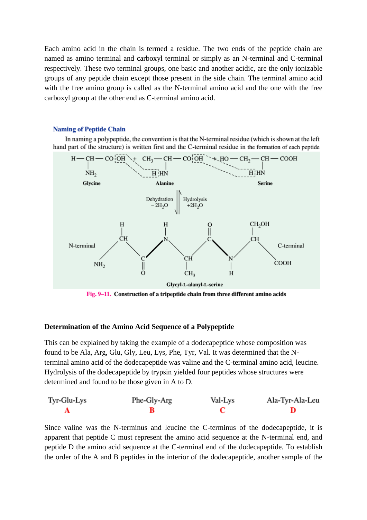Each amino acid in the chain is termed a residue. The two ends of the peptide chain are named as amino terminal and carboxyl terminal or simply as an N-terminal and C-terminal respectively. These two terminal groups, one basic and another acidic, are the only ionizable groups of any peptide chain except those present in the side chain. The terminal amino acid with the free amino group is called as the N-terminal amino acid and the one with the free carboxyl group at the other end as C-terminal amino acid.

#### **Naming of Peptide Chain**

In naming a polypeptide, the convention is that the N-terminal residue (which is shown at the left hand part of the structure) is written first and the C-terminal residue in the formation of each peptide



Fig. 9-11. Construction of a tripeptide chain from three different amino acids

#### **Determination of the Amino Acid Sequence of a Polypeptide**

This can be explained by taking the example of a dodecapeptide whose composition was found to be Ala, Arg, Glu, Gly, Leu, Lys, Phe, Tyr, Val. It was determined that the Nterminal amino acid of the dodecapeptide was valine and the C-terminal amino acid, leucine. Hydrolysis of the dodecapeptide by trypsin yielded four peptides whose structures were determined and found to be those given in A to D.

Since valine was the N-terminus and leucine the C-terminus of the dodecapeptide, it is apparent that peptide C must represent the amino acid sequence at the N-terminal end, and peptide D the amino acid sequence at the C-terminal end of the dodecapeptide. To establish the order of the A and B peptides in the interior of the dodecapeptide, another sample of the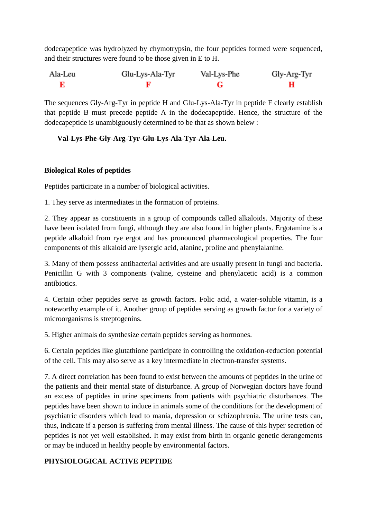dodecapeptide was hydrolyzed by chymotrypsin, the four peptides formed were sequenced, and their structures were found to be those given in E to H.

| Ala-Leu | Glu-Lys-Ala-Tyr | Val-Lys-Phe | Gly-Arg-Tyr |
|---------|-----------------|-------------|-------------|
|         |                 |             |             |

The sequences Gly-Arg-Tyr in peptide H and Glu-Lys-Ala-Tyr in peptide F clearly establish that peptide B must precede peptide A in the dodecapeptide. Hence, the structure of the dodecapeptide is unambiguously determined to be that as shown belew :

## **Val-Lys-Phe-Gly-Arg-Tyr-Glu-Lys-Ala-Tyr-Ala-Leu.**

## **Biological Roles of peptides**

Peptides participate in a number of biological activities.

1. They serve as intermediates in the formation of proteins.

2. They appear as constituents in a group of compounds called alkaloids. Majority of these have been isolated from fungi, although they are also found in higher plants. Ergotamine is a peptide alkaloid from rye ergot and has pronounced pharmacological properties. The four components of this alkaloid are lysergic acid, alanine, proline and phenylalanine.

3. Many of them possess antibacterial activities and are usually present in fungi and bacteria. Penicillin G with 3 components (valine, cysteine and phenylacetic acid) is a common antibiotics.

4. Certain other peptides serve as growth factors. Folic acid, a water-soluble vitamin, is a noteworthy example of it. Another group of peptides serving as growth factor for a variety of microorganisms is streptogenins.

5. Higher animals do synthesize certain peptides serving as hormones.

6. Certain peptides like glutathione participate in controlling the oxidation-reduction potential of the cell. This may also serve as a key intermediate in electron-transfer systems.

7. A direct correlation has been found to exist between the amounts of peptides in the urine of the patients and their mental state of disturbance. A group of Norwegian doctors have found an excess of peptides in urine specimens from patients with psychiatric disturbances. The peptides have been shown to induce in animals some of the conditions for the development of psychiatric disorders which lead to mania, depression or schizophrenia. The urine tests can, thus, indicate if a person is suffering from mental illness. The cause of this hyper secretion of peptides is not yet well established. It may exist from birth in organic genetic derangements or may be induced in healthy people by environmental factors.

## **PHYSIOLOGICAL ACTIVE PEPTIDE**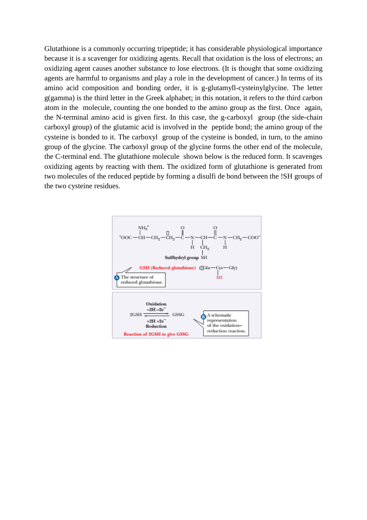Glutathione is a commonly occurring tripeptide; it has considerable physiological importance because it is a scavenger for oxidizing agents. Recall that oxidation is the loss of electrons; an oxidizing agent causes another substance to lose electrons. (It is thought that some oxidizing agents are harmful to organisms and play a role in the development of cancer.) In terms of its amino acid composition and bonding order, it is g-glutamyll-cysteinylglycine. The letter g(gamma) is the third letter in the Greek alphabet; in this notation, it refers to the third carbon atom in the molecule, counting the one bonded to the amino group as the first. Once again, the N-terminal amino acid is given first. In this case, the g-carboxyl group (the side-chain carboxyl group) of the glutamic acid is involved in the peptide bond; the amino group of the cysteine is bonded to it. The carboxyl group of the cysteine is bonded, in turn, to the amino group of the glycine. The carboxyl group of the glycine forms the other end of the molecule, the C-terminal end. The glutathione molecule shown below is the reduced form. It scavenges oxidizing agents by reacting with them. The oxidized form of glutathione is generated from two molecules of the reduced peptide by forming a disulfi de bond between the !SH groups of the two cysteine residues.

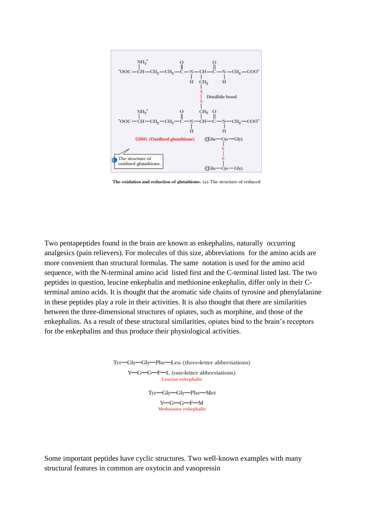

The oxidation and reduction of glutathione. (a) The structure of reduced

Two pentapeptides found in the brain are known as enkephalins, naturally occurring analgesics (pain relievers). For molecules of this size, abbreviations for the amino acids are more convenient than structural formulas. The same notation is used for the amino acid sequence, with the N-terminal amino acid listed first and the C-terminal listed last. The two peptides in question, leucine enkephalin and methionine enkephalin, differ only in their Cterminal amino acids. It is thought that the aromatic side chains of tyrosine and phenylalanine in these peptides play a role in their activities. It is also thought that there are similarities between the three-dimensional structures of opiates, such as morphine, and those of the enkephalins. As a result of these structural similarities, opiates bind to the brain's receptors for the enkephalins and thus produce their physiological activities.

> Tyr-Gly-Gly-Phe-Leu (three-letter abbreviations) -G-G-F-L (one-letter abbreviations) Leucine enkephalin Tyr-Gly-Gly-Phe-Met  $Y-G-G-F-M$ Methionine enkephalin

Some important peptides have cyclic structures. Two well-known examples with many structural features in common are oxytocin and vasopressin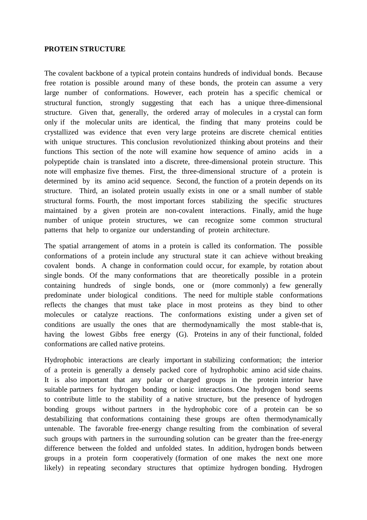## **PROTEIN STRUCTURE**

The covalent backbone of a typical protein contains hundreds of individual bonds. Because free rotation is possible around many of these bonds, the protein can assume a very large number of conformations. However, each protein has a specific chemical or structural function, strongly suggesting that each has a unique three-dimensional structure. Given that, generally, the ordered array of molecules in a crystal can form only if the molecular units are identical, the finding that many proteins could be crystallized was evidence that even very large proteins are discrete chemical entities with unique structures. This conclusion revolutionized thinking about proteins and their functions This section of the note will examine how sequence of amino acids in a polypeptide chain is translated into a discrete, three-dimensional protein structure. This note will emphasize five themes. First, the three-dimensional structure of a protein is determined by its amino acid sequence. Second, the function of a protein depends on its structure. Third, an isolated protein usually exists in one or a small number of stable structural forms. Fourth, the most important forces stabilizing the specific structures maintained by a given protein are non-covalent interactions. Finally, amid the huge number of unique protein structures, we can recognize some common structural patterns that help to organize our understanding of protein architecture.

The spatial arrangement of atoms in a protein is called its conformation. The possible conformations of a protein include any structural state it can achieve without breaking covalent bonds. A change in conformation could occur, for example, by rotation about single bonds. Of the many conformations that are theoretically possible in a protein containing hundreds of single bonds, one or (more commonly) a few generally predominate under biological conditions. The need for multiple stable conformations reflects the changes that must take place in most proteins as they bind to other molecules or catalyze reactions. The conformations existing under a given set of conditions are usually the ones that are thermodynamically the most stable-that is, having the lowest Gibbs free energy (G). Proteins in any of their functional, folded conformations are called native proteins.

Hydrophobic interactions are clearly important in stabilizing conformation; the interior of a protein is generally a densely packed core of hydrophobic amino acid side chains. It is also important that any polar or charged groups in the protein interior have suitable partners for hydrogen bonding or ionic interactions. One hydrogen bond seems to contribute little to the stability of a native structure, but the presence of hydrogen bonding groups without partners in the hydrophobic core of a protein can be so destabilizing that conformations containing these groups are often thermodynamically untenable. The favorable free-energy change resulting from the combination of several such groups with partners in the surrounding solution can be greater than the free-energy difference between the folded and unfolded states. In addition, hydrogen bonds between groups in a protein form cooperatively (formation of one makes the next one more likely) in repeating secondary structures that optimize hydrogen bonding. Hydrogen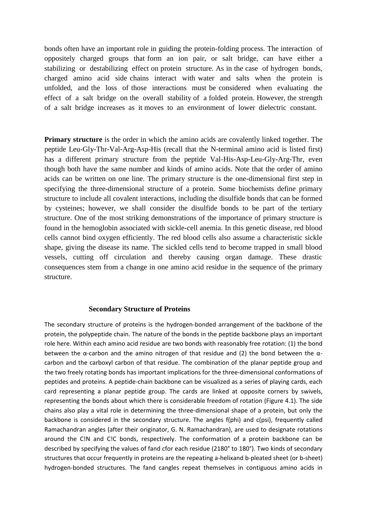bonds often have an important role in guiding the protein-folding process. The interaction of oppositely charged groups that form an ion pair, or salt bridge, can have either a stabilizing or destabilizing effect on protein structure. As in the case of hydrogen bonds, charged amino acid side chains interact with water and salts when the protein is unfolded, and the loss of those interactions must be considered when evaluating the effect of a salt bridge on the overall stability of a folded protein. However, the strength of a salt bridge increases as it moves to an environment of lower dielectric constant.

**Primary structure** is the order in which the amino acids are covalently linked together. The peptide Leu-Gly-Thr-Val-Arg-Asp-His (recall that the N-terminal amino acid is listed first) has a different primary structure from the peptide Val-His-Asp-Leu-Gly-Arg-Thr, even though both have the same number and kinds of amino acids. Note that the order of amino acids can be written on one line. The primary structure is the one-dimensional first step in specifying the three-dimensional structure of a protein. Some biochemists define primary structure to include all covalent interactions, including the disulfide bonds that can be formed by cysteines; however, we shall consider the disulfide bonds to be part of the tertiary structure. One of the most striking demonstrations of the importance of primary structure is found in the hemoglobin associated with sickle-cell anemia. In this genetic disease, red blood cells cannot bind oxygen efficiently. The red blood cells also assume a characteristic sickle shape, giving the disease its name. The sickled cells tend to become trapped in small blood vessels, cutting off circulation and thereby causing organ damage. These drastic consequences stem from a change in one amino acid residue in the sequence of the primary structure.

### **Secondary Structure of Proteins**

The secondary structure of proteins is the hydrogen-bonded arrangement of the backbone of the protein, the polypeptide chain. The nature of the bonds in the peptide backbone plays an important role here. Within each amino acid residue are two bonds with reasonably free rotation: (1) the bond between the  $\alpha$ -carbon and the amino nitrogen of that residue and (2) the bond between the  $\alpha$ carbon and the carboxyl carbon of that residue. The combination of the planar peptide group and the two freely rotating bonds has important implications for the three-dimensional conformations of peptides and proteins. A peptide-chain backbone can be visualized as a series of playing cards, each card representing a planar peptide group. The cards are linked at opposite corners by swivels, representing the bonds about which there is considerable freedom of rotation (Figure 4.1). The side chains also play a vital role in determining the three-dimensional shape of a protein, but only the backbone is considered in the secondary structure. The angles f(phi) and c(psi), frequently called Ramachandran angles (after their originator, G. N. Ramachandran), are used to designate rotations around the C!N and C!C bonds, respectively. The conformation of a protein backbone can be described by specifying the values of fand cfor each residue (2180° to 180°). Two kinds of secondary structures that occur frequently in proteins are the repeating a-helixand b-pleated sheet (or b-sheet) hydrogen-bonded structures. The fand cangles repeat themselves in contiguous amino acids in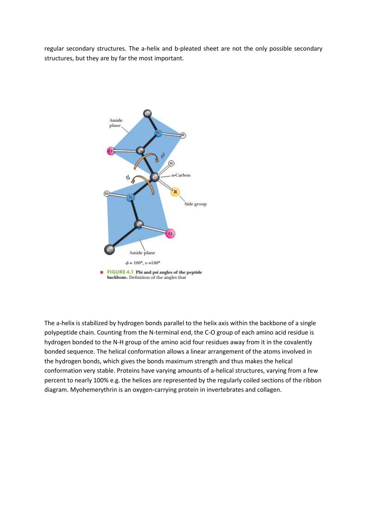regular secondary structures. The a-helix and b-pleated sheet are not the only possible secondary structures, but they are by far the most important.



The a-helix is stabilized by hydrogen bonds parallel to the helix axis within the backbone of a single polypeptide chain. Counting from the N-terminal end, the C-O group of each amino acid residue is hydrogen bonded to the N-H group of the amino acid four residues away from it in the covalently bonded sequence. The helical conformation allows a linear arrangement of the atoms involved in the hydrogen bonds, which gives the bonds maximum strength and thus makes the helical conformation very stable. Proteins have varying amounts of a-helical structures, varying from a few percent to nearly 100% e.g. the helices are represented by the regularly coiled sections of the ribbon diagram. Myohemerythrin is an oxygen-carrying protein in invertebrates and collagen.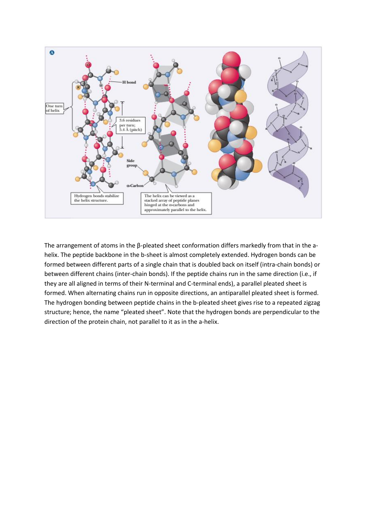

The arrangement of atoms in the β-pleated sheet conformation differs markedly from that in the ahelix. The peptide backbone in the b-sheet is almost completely extended. Hydrogen bonds can be formed between different parts of a single chain that is doubled back on itself (intra-chain bonds) or between different chains (inter-chain bonds). If the peptide chains run in the same direction (i.e., if they are all aligned in terms of their N-terminal and C-terminal ends), a parallel pleated sheet is formed. When alternating chains run in opposite directions, an antiparallel pleated sheet is formed. The hydrogen bonding between peptide chains in the b-pleated sheet gives rise to a repeated zigzag structure; hence, the name "pleated sheet". Note that the hydrogen bonds are perpendicular to the direction of the protein chain, not parallel to it as in the a-helix.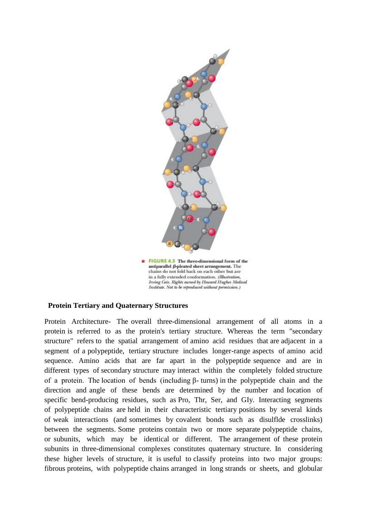

antiparallel  $\beta$ -pleated sheet arrangement. The chains do not fold back on each other but are in a fully extended conformation. (Illustration, Irving Geis. Rights owned by Howard Hughes Medical Institute. Not to be reproduced without permission.)

## **Protein Tertiary and Quaternary Structures**

Protein Architecture- The overall three-dimensional arrangement of all atoms in a protein is referred to as the protein's tertiary structure. Whereas the term "secondary structure" refers to the spatial arrangement of amino acid residues that are adjacent in a segment of a polypeptide, tertiary structure includes longer-range aspects of amino acid sequence. Amino acids that are far apart in the polypeptide sequence and are in different types of secondary structure may interact within the completely folded structure of a protein. The location of bends (including β- turns) in the polypeptide chain and the direction and angle of these bends are determined by the number and Iocation of specific bend-producing residues, such as Pro, Thr, Ser, and GIy. Interacting segments of polypeptide chains are held in their characteristic tertiary positions by several kinds of weak interactions (and sometimes by covalent bonds such as disulflde crosslinks) between the segments. Some proteins contain two or more separate polypeptide chains, or subunits, which may be identical or different. The arrangement of these protein subunits in three-dimensional complexes constitutes quaternary structure. In considering these higher levels of structure, it is useful to classify proteins into two major groups: fibrous proteins, with polypeptide chains arranged in long strands or sheets, and globular